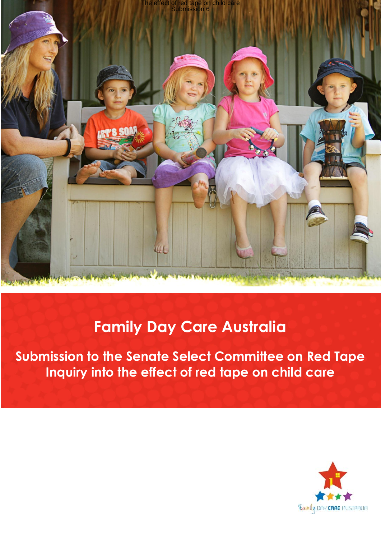

# **Family Day Care Australia**

**Submission to the Senate Select Committee on Red Tape Inquiry into the effect of red tape on child care**

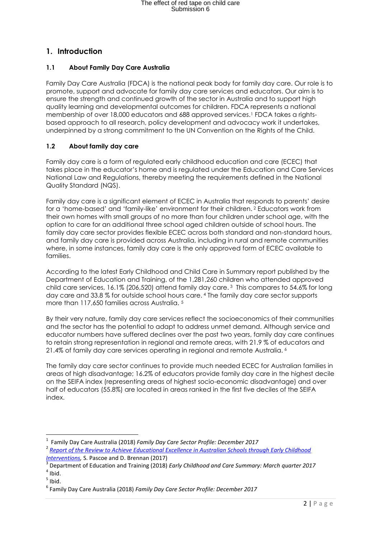## **1. Introduction**

#### **1.1 About Family Day Care Australia**

Family Day Care Australia (FDCA) is the national peak body for family day care. Our role is to promote, support and advocate for family day care services and educators. Our aim is to ensure the strength and continued growth of the sector in Australia and to support high quality learning and developmental outcomes for children. FDCA represents a national membership of over 18,000 educators and 688 approved services.<sup>1</sup> FDCA takes a rightsbased approach to all research, policy development and advocacy work it undertakes, underpinned by a strong commitment to the UN Convention on the Rights of the Child.

#### **1.2 About family day care**

Family day care is a form of regulated early childhood education and care (ECEC) that takes place in the educator's home and is regulated under the Education and Care Services National Law and Regulations, thereby meeting the requirements defined in the National Quality Standard (NQS).

Family day care is a significant element of ECEC in Australia that responds to parents' desire for a 'home-based' and 'family-like' environment for their children. <sup>2</sup> Educators work from their own homes with small groups of no more than four children under school age, with the option to care for an additional three school aged children outside of school hours. The family day care sector provides flexible ECEC across both standard and non-standard hours, and family day care is provided across Australia, including in rural and remote communities where, in some instances, family day care is the only approved form of ECEC available to families.

According to the latest Early Childhood and Child Care in Summary report published by the Department of Education and Training, of the 1,281,260 children who attended approved child care services, 16.1% (206,520) attend family day care. <sup>3</sup> This compares to 54.6% for long day care and 33.8 % for outside school hours care. <sup>4</sup> The family day care sector supports more than 117,650 families across Australia. <sup>5</sup>

By their very nature, family day care services reflect the socioeconomics of their communities and the sector has the potential to adapt to address unmet demand. Although service and educator numbers have suffered declines over the past two years, family day care continues to retain strong representation in regional and remote areas, with 21.9 % of educators and 21.4% of family day care services operating in regional and remote Australia. <sup>6</sup>

The family day care sector continues to provide much needed ECEC for Australian families in areas of high disadvantage; 16.2% of educators provide family day care in the highest decile on the SEIFA index (representing areas of highest socio-economic disadvantage) and over half of educators (55.8%) are located in areas ranked in the first five deciles of the SEIFA index.

 $\overline{a}$ 

<sup>1</sup> Family Day Care Australia (2018) *Family Day Care Sector Profile: December 2017* 2 *[Report of the Review to Achieve Educational Excellence in Australian Schools through Early Childhood](https://education.nsw.gov.au/early-childhood-education/whats-happening-in-the-early-childhood-education-sector/lifting-our-game-report/Lifting-Our-Game-Final-Report.pdf)  [Interventions,](https://education.nsw.gov.au/early-childhood-education/whats-happening-in-the-early-childhood-education-sector/lifting-our-game-report/Lifting-Our-Game-Final-Report.pdf)* S. Pascoe and D. Brennan (2017)

<sup>3</sup> Department of Education and Training (2018) *Early Childhood and Care Summary: March quarter 2017*  $<sup>4</sup>$  Ibid.</sup>

 $<sup>5</sup>$  Ibid.</sup>

<sup>6</sup> Family Day Care Australia (2018) *Family Day Care Sector Profile: December 2017*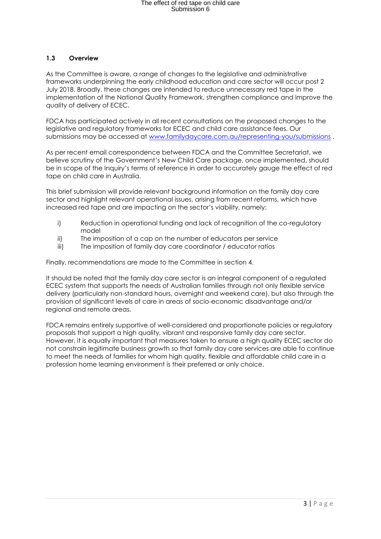#### **1.3 Overview**

As the Committee is aware, a range of changes to the legislative and administrative frameworks underpinning the early childhood education and care sector will occur post 2 July 2018. Broadly, these changes are intended to reduce unnecessary red tape in the implementation of the National Quality Framework, strengthen compliance and improve the quality of delivery of ECEC.

FDCA has participated actively in all recent consultations on the proposed changes to the legislative and regulatory frameworks for ECEC and child care assistance fees. Our submissions may be accessed at [www.familydaycare.com.au/representing-you/submissions](http://www.familydaycare.com.au/representing-you/submissions) .

As per recent email correspondence between FDCA and the Committee Secretariat, we believe scrutiny of the Government's New Child Care package, once implemented, should be in scope of the Inquiry's terms of reference in order to accurately gauge the effect of red tape on child care in Australia.

This brief submission will provide relevant background information on the family day care sector and highlight relevant operational issues, arising from recent reforms, which have increased red tape and are impacting on the sector's viability, namely:

- i) Reduction in operational funding and lack of recognition of the co-regulatory model
- ii) The imposition of a cap on the number of educators per service
- iii) The imposition of family day care coordinator / educator ratios

Finally, recommendations are made to the Committee in section 4.

It should be noted that the family day care sector is an integral component of a regulated ECEC system that supports the needs of Australian families through not only flexible service delivery (particularly non-standard hours, overnight and weekend care), but also through the provision of significant levels of care in areas of socio-economic disadvantage and/or regional and remote areas.

FDCA remains entirely supportive of well-considered and proportionate policies or regulatory proposals that support a high quality, vibrant and responsive family day care sector. However, it is equally important that measures taken to ensure a high quality ECEC sector do not constrain legitimate business growth so that family day care services are able to continue to meet the needs of families for whom high quality, flexible and affordable child care in a profession home learning environment is their preferred or only choice.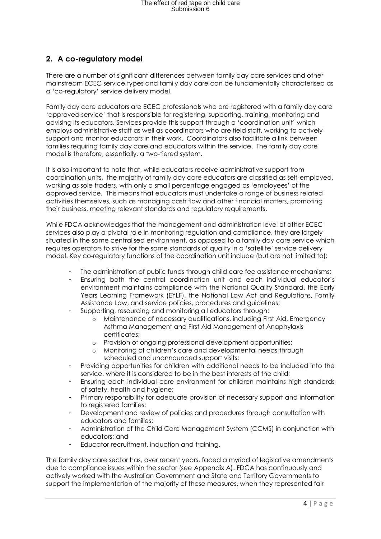### **2. A co-regulatory model**

There are a number of significant differences between family day care services and other mainstream ECEC service types and family day care can be fundamentally characterised as a 'co-regulatory' service delivery model.

Family day care educators are ECEC professionals who are registered with a family day care 'approved service' that is responsible for registering, supporting, training, monitoring and advising its educators. Services provide this support through a 'coordination unit' which employs administrative staff as well as coordinators who are field staff, working to actively support and monitor educators in their work. Coordinators also facilitate a link between families requiring family day care and educators within the service. The family day care model is therefore, essentially, a two-tiered system.

It is also important to note that, while educators receive administrative support from coordination units, the majority of family day care educators are classified as self-employed, working as sole traders, with only a small percentage engaged as 'employees' of the approved service. This means that educators must undertake a range of business related activities themselves, such as managing cash flow and other financial matters, promoting their business, meeting relevant standards and regulatory requirements.

While FDCA acknowledges that the management and administration level of other ECEC services also play a pivotal role in monitoring regulation and compliance, they are largely situated in the same centralised environment, as opposed to a family day care service which requires operators to strive for the same standards of quality in a 'satellite' service delivery model. Key co-regulatory functions of the coordination unit include (but are not limited to):

- The administration of public funds through child care fee assistance mechanisms;
- Ensuring both the central coordination unit and each individual educator's environment maintains compliance with the National Quality Standard, the Early Years Learning Framework (EYLF), the National Law Act and Regulations, Family Assistance Law, and service policies, procedures and guidelines;
- Supporting, resourcing and monitoring all educators through:
	- o Maintenance of necessary qualifications, including First Aid, Emergency Asthma Management and First Aid Management of Anaphylaxis certificates;
	- o Provision of ongoing professional development opportunities;
	- o Monitoring of children's care and developmental needs through scheduled and unannounced support visits;
- Providing opportunities for children with additional needs to be included into the service, where it is considered to be in the best interests of the child;
- Ensuring each individual care environment for children maintains high standards of safety, health and hygiene;
- Primary responsibility for adequate provision of necessary support and information to registered families;
- Development and review of policies and procedures through consultation with educators and families;
- Administration of the Child Care Management System (CCMS) in conjunction with educators; and
- Educator recruitment, induction and training.

The family day care sector has, over recent years, faced a myriad of legislative amendments due to compliance issues within the sector (see Appendix A). FDCA has continuously and actively worked with the Australian Government and State and Territory Governments to support the implementation of the majority of these measures, when they represented fair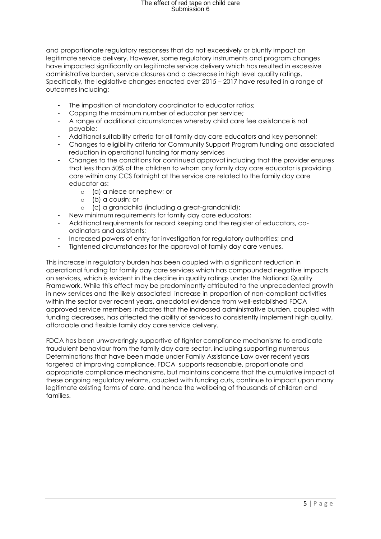# The effect of red tape on child care<br>Submission 6

and proportionate regulatory responses that do not excessively or bluntly impact on legitimate service delivery. However, some regulatory instruments and program changes have impacted significantly on legitimate service delivery which has resulted in excessive administrative burden, service closures and a decrease in high level quality ratings. Specifically, the legislative changes enacted over 2015 – 2017 have resulted in a range of outcomes including:

- The imposition of mandatory coordinator to educator ratios;
- Capping the maximum number of educator per service;
- A range of additional circumstances whereby child care fee assistance is not payable;
- Additional suitability criteria for all family day care educators and key personnel;
- Changes to eligibility criteria for Community Support Program funding and associated reduction in operational funding for many services
- Changes to the conditions for continued approv*a*l including that the provider ensures that less than 50% of the children to whom any family day care educator is providing care within any CCS fortnight at the service are related to the family day care educator as:
	- o (a) a niece or nephew; or
	- o (b) a cousin; or
	- o (c) a grandchild (including a great-grandchild);
- New minimum requirements for family day care educators;
- Additional requirements for record keeping and the register of educators, coordinators and assistants;
- Increased powers of entry for investigation for regulatory authorities; and
- Tightened circumstances for the approval of family day care venues.

This increase in regulatory burden has been coupled with a significant reduction in operational funding for family day care services which has compounded negative impacts on services, which is evident in the decline in quality ratings under the National Quality Framework. While this effect may be predominantly attributed to the unprecedented growth in new services and the likely associated increase in proportion of non-compliant activities within the sector over recent years, anecdotal evidence from well-established FDCA approved service members indicates that the increased administrative burden, coupled with funding decreases, has affected the ability of services to consistently implement high quality, affordable and flexible family day care service delivery.

FDCA has been unwaveringly supportive of tighter compliance mechanisms to eradicate fraudulent behaviour from the family day care sector, including supporting numerous Determinations that have been made under Family Assistance Law over recent years targeted at improving compliance. FDCA supports reasonable, proportionate and appropriate compliance mechanisms, but maintains concerns that the cumulative impact of these ongoing regulatory reforms, coupled with funding cuts, continue to impact upon many legitimate existing forms of care, and hence the wellbeing of thousands of children and families.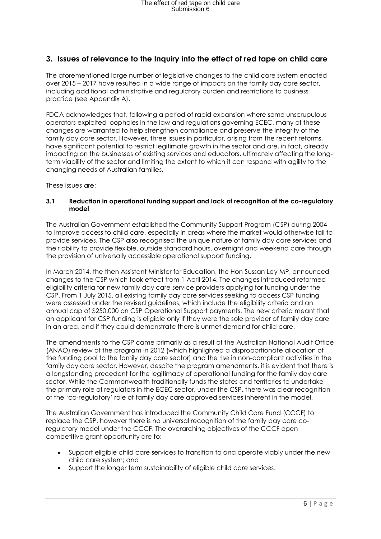### **3. Issues of relevance to the Inquiry into the effect of red tape on child care**

The aforementioned large number of legislative changes to the child care system enacted over 2015 – 2017 have resulted in a wide range of impacts on the family day care sector, including additional administrative and regulatory burden and restrictions to business practice (see Appendix A).

FDCA acknowledges that, following a period of rapid expansion where some unscrupulous operators exploited loopholes in the law and regulations governing ECEC, many of these changes are warranted to help strengthen compliance and preserve the integrity of the family day care sector. However, three issues in particular, arising from the recent reforms, have significant potential to restrict legitimate growth in the sector and are, in fact, already impacting on the businesses of existing services and educators, ultimately affecting the longterm viability of the sector and limiting the extent to which it can respond with agility to the changing needs of Australian families.

These issues are:

#### **3.1 Reduction in operational funding support and lack of recognition of the co-regulatory model**

The Australian Government established the Community Support Program (CSP) during 2004 to improve access to child care, especially in areas where the market would otherwise fail to provide services. The CSP also recognised the unique nature of family day care services and their ability to provide flexible, outside standard hours, overnight and weekend care through the provision of universally accessible operational support funding.

In March 2014, the then Assistant Minister for Education, the Hon Sussan Ley MP, announced changes to the CSP which took effect from 1 April 2014. The changes introduced reformed eligibility criteria for new family day care service providers applying for funding under the CSP. From 1 July 2015, all existing family day care services seeking to access CSP funding were assessed under the revised guidelines, which include the eligibility criteria and an annual cap of \$250,000 on CSP Operational Support payments. The new criteria meant that an applicant for CSP funding is eligible only if they were the sole provider of family day care in an area, and if they could demonstrate there is unmet demand for child care.

The amendments to the CSP came primarily as a result of the Australian National Audit Office (ANAO) review of the program in 2012 (which highlighted a disproportionate allocation of the funding pool to the family day care sector) and the rise in non-compliant activities in the family day care sector. However, despite the program amendments, it is evident that there is a longstanding precedent for the legitimacy of operational funding for the family day care sector. While the Commonwealth traditionally funds the states and territories to undertake the primary role of regulators in the ECEC sector, under the CSP, there was clear recognition of the 'co-regulatory' role of family day care approved services inherent in the model.

The Australian Government has introduced the Community Child Care Fund (CCCF) to replace the CSP, however there is no universal recognition of the family day care coregulatory model under the CCCF. The overarching objectives of the CCCF open competitive grant opportunity are to:

- Support eligible child care services to transition to and operate viably under the new child care system; and
- Support the longer term sustainability of eligible child care services.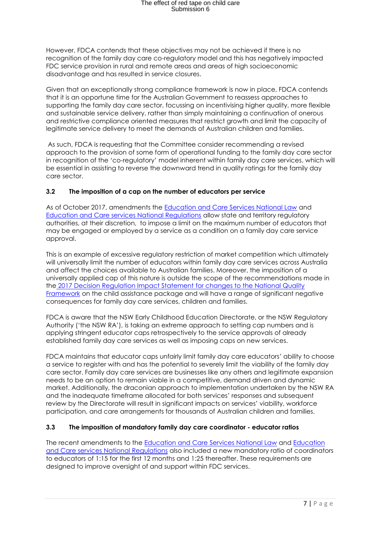# The effect of red tape on child care<br>Submission 6

However, FDCA contends that these objectives may not be achieved if there is no recognition of the family day care co-regulatory model and this has negatively impacted FDC service provision in rural and remote areas and areas of high socioeconomic disadvantage and has resulted in service closures.

Given that an exceptionally strong compliance framework is now in place, FDCA contends that it is an opportune time for the Australian Government to reassess approaches to supporting the family day care sector, focussing on incentivising higher quality, more flexible and sustainable service delivery, rather than simply maintaining a continuation of onerous and restrictive compliance oriented measures that restrict growth and limit the capacity of legitimate service delivery to meet the demands of Australian children and families.

As such, FDCA is requesting that the Committee consider recommending a revised approach to the provision of some form of operational funding to the family day care sector in recognition of the 'co-regulatory' model inherent within family day care services, which will be essential in assisting to reverse the downward trend in quality ratings for the family day care sector.

#### **3.2 The imposition of a cap on the number of educators per service**

As of October 2017, amendments the [Education and Care Services National Law](http://www.legislation.vic.gov.au/domino/Web_Notes/LDMS/LTObject_Store/ltobjst10.nsf/DDE300B846EED9C7CA257616000A3571/D38DBD79C4A26CCECA2582270002C054/$FILE/10-69aa012%20authorised.pdf) and [Education and Care services National Regulations](https://www.legislation.nsw.gov.au/#/view/regulation/2011/653) allow state and territory regulatory authorities, at their discretion, to impose a limit on the maximum number of educators that may be engaged or employed by a service as a condition on a family day care service approval.

This is an example of excessive regulatory restriction of market competition which ultimately will universally limit the number of educators within family day care services across Australia and affect the choices available to Australian families. Moreover, the imposition of a universally applied cap of this nature is outside the scope of the recommendations made in the 2017 Decision Regulation Impact Statement [for changes to the National Quality](http://www.scseec.edu.au/site/DefaultSite/filesystem/documents/Reports%20and%20publications/Final%20NQF%20DRIS%20January%202017.pdf)  [Framework](http://www.scseec.edu.au/site/DefaultSite/filesystem/documents/Reports%20and%20publications/Final%20NQF%20DRIS%20January%202017.pdf) on the child assistance package and will have a range of significant negative consequences for family day care services, children and families.

FDCA is aware that the NSW Early Childhood Education Directorate, or the NSW Regulatory Authority ('the NSW RA'), is taking an extreme approach to setting cap numbers and is applying stringent educator caps retrospectively to the service approvals of already established family day care services as well as imposing caps on new services.

FDCA maintains that educator caps unfairly limit family day care educators' ability to choose a service to register with and has the potential to severely limit the viability of the family day care sector. Family day care services are businesses like any others and legitimate expansion needs to be an option to remain viable in a competitive, demand driven and dynamic market. Additionally, the draconian approach to implementation undertaken by the NSW RA and the inadequate timeframe allocated for both services' responses and subsequent review by the Directorate will result in significant impacts on services' viability, workforce participation, and care arrangements for thousands of Australian children and families.

#### **3.3 The imposition of mandatory family day care coordinator - educator ratios**

The recent amendments to the **Education and Care Services National Law** and **Education** [and Care services National Regulations](https://www.legislation.nsw.gov.au/#/view/regulation/2011/653) also included a new mandatory ratio of coordinators to educators of 1:15 for the first 12 months and 1:25 thereafter. These requirements are designed to improve oversight of and support within FDC services.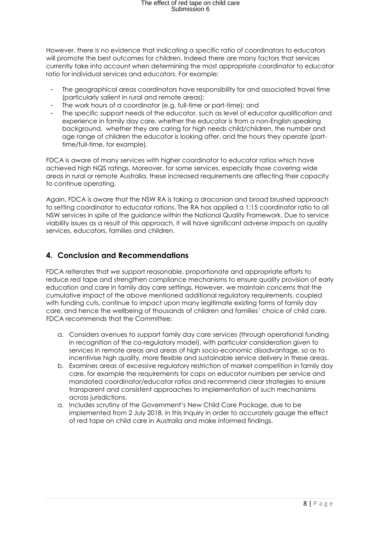# The effect of red tape on child care<br>Submission 6

However, there is no evidence that indicating a specific ratio of coordinators to educators will promote the best outcomes for children. Indeed there are many factors that services currently take into account when determining the most appropriate coordinator to educator ratio for individual services and educators. For example:

- The geographical areas coordinators have responsibility for and associated travel time (particularly salient in rural and remote areas);
- The work hours of a coordinator (e.g. full-time or part-time); and
- The specific support needs of the educator, such as level of educator qualification and experience in family day care, whether the educator is from a non-English speaking background, whether they are caring for high needs child/children, the number and age range of children the educator is looking after, and the hours they operate (parttime/full-time, for example).

FDCA is aware of many services with higher coordinator to educator ratios which have achieved high NQS ratings. Moreover, for some services, especially those covering wide areas in rural or remote Australia, these increased requirements are affecting their capacity to continue operating.

Again, FDCA is aware that the NSW RA is taking a draconian and broad brushed approach to setting coordinator to educator rations. The RA has applied a 1:15 coordinator ratio to all NSW services in spite of the guidance within the National Quality Framework. Due to service viability issues as a result of this approach, it will have significant adverse impacts on quality services, educators, families and children.

### **4. Conclusion and Recommendations**

FDCA reiterates that we support reasonable, proportionate and appropriate efforts to reduce red tape and strengthen compliance mechanisms to ensure quality provision of early education and care in family day care settings. However, we maintain concerns that the cumulative impact of the above mentioned additional regulatory requirements, coupled with funding cuts, continue to impact upon many legitimate existing forms of family day care, and hence the wellbeing of thousands of children and families' choice of child care. FDCA recommends that the Committee:

- a. Considers avenues to support family day care services (through operational funding in recognition of the co-regulatory model), with particular consideration given to services in remote areas and areas of high socio-economic disadvantage, so as to incentivise high quality, more flexible and sustainable service delivery in these areas.
- b. Examines areas of excessive regulatory restriction of market competition in family day care, for example the requirements for caps on educator numbers per service and mandated coordinator/educator ratios and recommend clear strategies to ensure transparent and consistent approaches to implementation of such mechanisms across jurisdictions.
- a. Includes scrutiny of the Government's New Child Care Package, due to be implemented from 2 July 2018, in this Inquiry in order to accurately gauge the effect of red tape on child care in Australia and make informed findings.